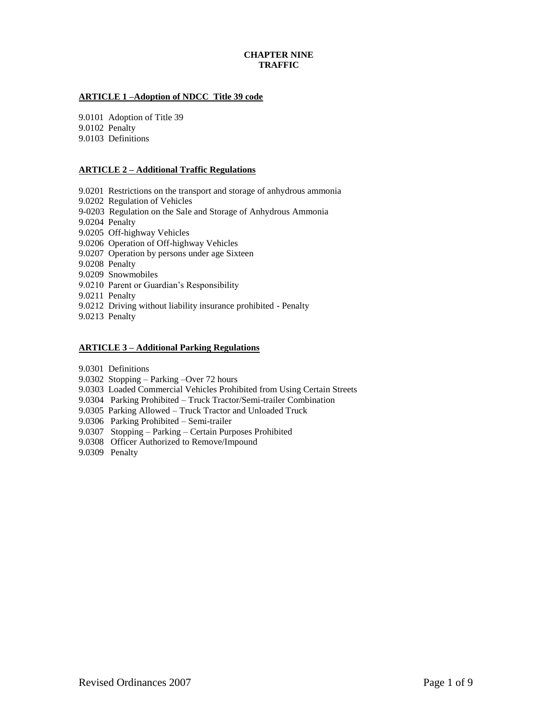# **CHAPTER NINE TRAFFIC**

# **ARTICLE 1 –Adoption of NDCC Title 39 code**

9.0101 Adoption of Title 39 9.0102 Penalty 9.0103 Definitions

# **ARTICLE 2 – Additional Traffic Regulations**

- 9.0201 Restrictions on the transport and storage of anhydrous ammonia
- 9.0202 Regulation of Vehicles
- 9-0203 Regulation on the Sale and Storage of Anhydrous Ammonia
- 9.0204 Penalty
- 9.0205 Off-highway Vehicles
- 9.0206 Operation of Off-highway Vehicles
- 9.0207 Operation by persons under age Sixteen
- 9.0208 Penalty
- 9.0209 Snowmobiles
- 9.0210 Parent or Guardian's Responsibility
- 9.0211 Penalty
- 9.0212 Driving without liability insurance prohibited Penalty
- 9.0213 Penalty

### **ARTICLE 3 – Additional Parking Regulations**

- 9.0301 Definitions
- 9.0302 Stopping Parking –Over 72 hours
- 9.0303 Loaded Commercial Vehicles Prohibited from Using Certain Streets
- 9.0304 Parking Prohibited Truck Tractor/Semi-trailer Combination
- 9.0305 Parking Allowed Truck Tractor and Unloaded Truck
- 9.0306 Parking Prohibited Semi-trailer
- 9.0307 Stopping Parking Certain Purposes Prohibited
- 9.0308 Officer Authorized to Remove/Impound
- 9.0309 Penalty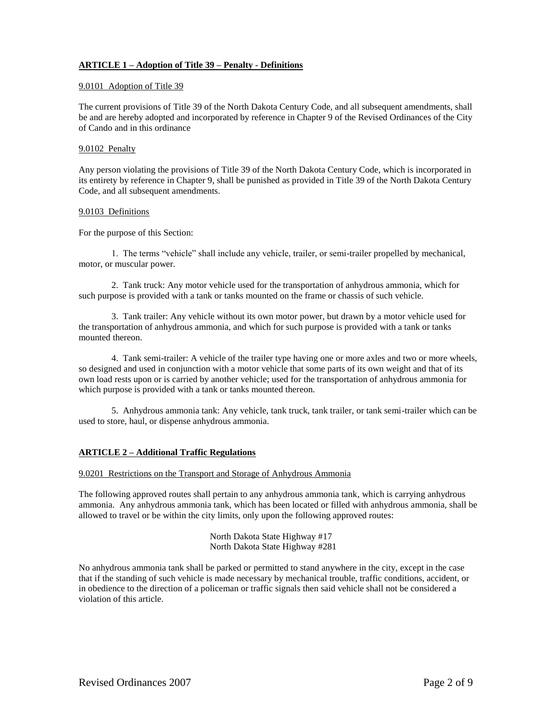# **ARTICLE 1 – Adoption of Title 39 – Penalty - Definitions**

### 9.0101 Adoption of Title 39

The current provisions of Title 39 of the North Dakota Century Code, and all subsequent amendments, shall be and are hereby adopted and incorporated by reference in Chapter 9 of the Revised Ordinances of the City of Cando and in this ordinance

# 9.0102 Penalty

Any person violating the provisions of Title 39 of the North Dakota Century Code, which is incorporated in its entirety by reference in Chapter 9, shall be punished as provided in Title 39 of the North Dakota Century Code, and all subsequent amendments.

### 9.0103 Definitions

For the purpose of this Section:

1. The terms "vehicle" shall include any vehicle, trailer, or semi-trailer propelled by mechanical, motor, or muscular power.

2. Tank truck: Any motor vehicle used for the transportation of anhydrous ammonia, which for such purpose is provided with a tank or tanks mounted on the frame or chassis of such vehicle.

3. Tank trailer: Any vehicle without its own motor power, but drawn by a motor vehicle used for the transportation of anhydrous ammonia, and which for such purpose is provided with a tank or tanks mounted thereon.

4. Tank semi-trailer: A vehicle of the trailer type having one or more axles and two or more wheels, so designed and used in conjunction with a motor vehicle that some parts of its own weight and that of its own load rests upon or is carried by another vehicle; used for the transportation of anhydrous ammonia for which purpose is provided with a tank or tanks mounted thereon.

5. Anhydrous ammonia tank: Any vehicle, tank truck, tank trailer, or tank semi-trailer which can be used to store, haul, or dispense anhydrous ammonia.

# **ARTICLE 2 – Additional Traffic Regulations**

9.0201 Restrictions on the Transport and Storage of Anhydrous Ammonia

The following approved routes shall pertain to any anhydrous ammonia tank, which is carrying anhydrous ammonia. Any anhydrous ammonia tank, which has been located or filled with anhydrous ammonia, shall be allowed to travel or be within the city limits, only upon the following approved routes:

> North Dakota State Highway #17 North Dakota State Highway #281

No anhydrous ammonia tank shall be parked or permitted to stand anywhere in the city, except in the case that if the standing of such vehicle is made necessary by mechanical trouble, traffic conditions, accident, or in obedience to the direction of a policeman or traffic signals then said vehicle shall not be considered a violation of this article.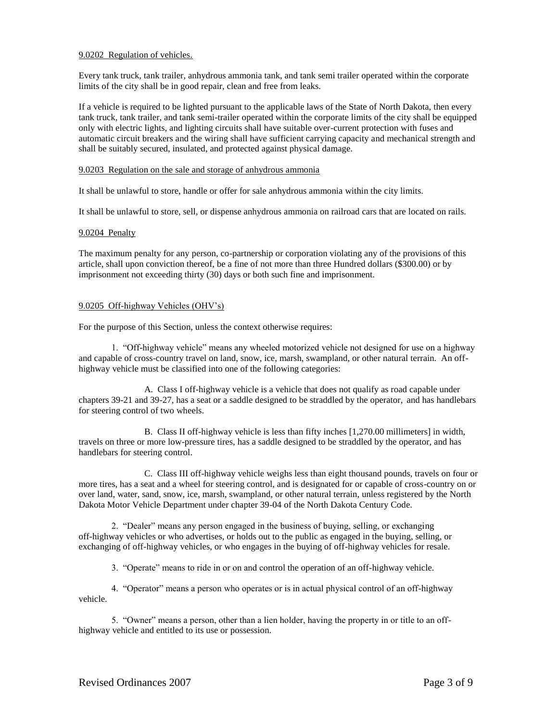# 9.0202 Regulation of vehicles.

Every tank truck, tank trailer, anhydrous ammonia tank, and tank semi trailer operated within the corporate limits of the city shall be in good repair, clean and free from leaks.

If a vehicle is required to be lighted pursuant to the applicable laws of the State of North Dakota, then every tank truck, tank trailer, and tank semi-trailer operated within the corporate limits of the city shall be equipped only with electric lights, and lighting circuits shall have suitable over-current protection with fuses and automatic circuit breakers and the wiring shall have sufficient carrying capacity and mechanical strength and shall be suitably secured, insulated, and protected against physical damage.

# 9.0203 Regulation on the sale and storage of anhydrous ammonia

It shall be unlawful to store, handle or offer for sale anhydrous ammonia within the city limits.

It shall be unlawful to store, sell, or dispense anhydrous ammonia on railroad cars that are located on rails.

# 9.0204 Penalty

The maximum penalty for any person, co-partnership or corporation violating any of the provisions of this article, shall upon conviction thereof, be a fine of not more than three Hundred dollars (\$300.00) or by imprisonment not exceeding thirty (30) days or both such fine and imprisonment.

# 9.0205 Off-highway Vehicles (OHV's)

For the purpose of this Section, unless the context otherwise requires:

1. "Off-highway vehicle" means any wheeled motorized vehicle not designed for use on a highway and capable of cross-country travel on land, snow, ice, marsh, swampland, or other natural terrain. An offhighway vehicle must be classified into one of the following categories:

A. Class I off-highway vehicle is a vehicle that does not qualify as road capable under chapters 39-21 and 39-27, has a seat or a saddle designed to be straddled by the operator, and has handlebars for steering control of two wheels.

B. Class II off-highway vehicle is less than fifty inches [1,270.00 millimeters] in width, travels on three or more low-pressure tires, has a saddle designed to be straddled by the operator, and has handlebars for steering control.

C. Class III off-highway vehicle weighs less than eight thousand pounds, travels on four or more tires, has a seat and a wheel for steering control, and is designated for or capable of cross-country on or over land, water, sand, snow, ice, marsh, swampland, or other natural terrain, unless registered by the North Dakota Motor Vehicle Department under chapter 39-04 of the North Dakota Century Code.

2. "Dealer" means any person engaged in the business of buying, selling, or exchanging off-highway vehicles or who advertises, or holds out to the public as engaged in the buying, selling, or exchanging of off-highway vehicles, or who engages in the buying of off-highway vehicles for resale.

3. "Operate" means to ride in or on and control the operation of an off-highway vehicle.

4. "Operator" means a person who operates or is in actual physical control of an off-highway vehicle.

5. "Owner" means a person, other than a lien holder, having the property in or title to an offhighway vehicle and entitled to its use or possession.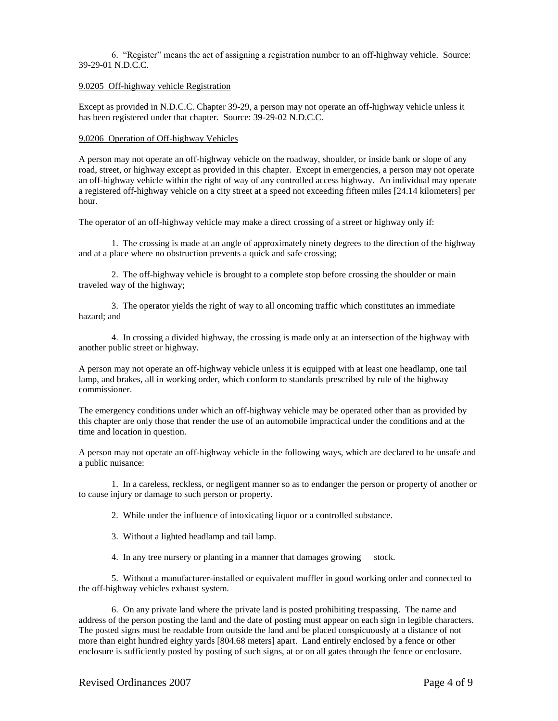6. "Register" means the act of assigning a registration number to an off-highway vehicle. Source: 39-29-01 N.D.C.C.

### 9.0205 Off-highway vehicle Registration

Except as provided in N.D.C.C. Chapter 39-29, a person may not operate an off-highway vehicle unless it has been registered under that chapter. Source: 39-29-02 N.D.C.C.

#### 9.0206 Operation of Off-highway Vehicles

A person may not operate an off-highway vehicle on the roadway, shoulder, or inside bank or slope of any road, street, or highway except as provided in this chapter. Except in emergencies, a person may not operate an off-highway vehicle within the right of way of any controlled access highway. An individual may operate a registered off-highway vehicle on a city street at a speed not exceeding fifteen miles [24.14 kilometers] per hour.

The operator of an off-highway vehicle may make a direct crossing of a street or highway only if:

1. The crossing is made at an angle of approximately ninety degrees to the direction of the highway and at a place where no obstruction prevents a quick and safe crossing;

2. The off-highway vehicle is brought to a complete stop before crossing the shoulder or main traveled way of the highway;

3. The operator yields the right of way to all oncoming traffic which constitutes an immediate hazard; and

4. In crossing a divided highway, the crossing is made only at an intersection of the highway with another public street or highway.

A person may not operate an off-highway vehicle unless it is equipped with at least one headlamp, one tail lamp, and brakes, all in working order, which conform to standards prescribed by rule of the highway commissioner.

The emergency conditions under which an off-highway vehicle may be operated other than as provided by this chapter are only those that render the use of an automobile impractical under the conditions and at the time and location in question.

A person may not operate an off-highway vehicle in the following ways, which are declared to be unsafe and a public nuisance:

1. In a careless, reckless, or negligent manner so as to endanger the person or property of another or to cause injury or damage to such person or property.

2. While under the influence of intoxicating liquor or a controlled substance.

- 3. Without a lighted headlamp and tail lamp.
- 4. In any tree nursery or planting in a manner that damages growing stock.

5. Without a manufacturer-installed or equivalent muffler in good working order and connected to the off-highway vehicles exhaust system.

6. On any private land where the private land is posted prohibiting trespassing. The name and address of the person posting the land and the date of posting must appear on each sign in legible characters. The posted signs must be readable from outside the land and be placed conspicuously at a distance of not more than eight hundred eighty yards [804.68 meters] apart. Land entirely enclosed by a fence or other enclosure is sufficiently posted by posting of such signs, at or on all gates through the fence or enclosure.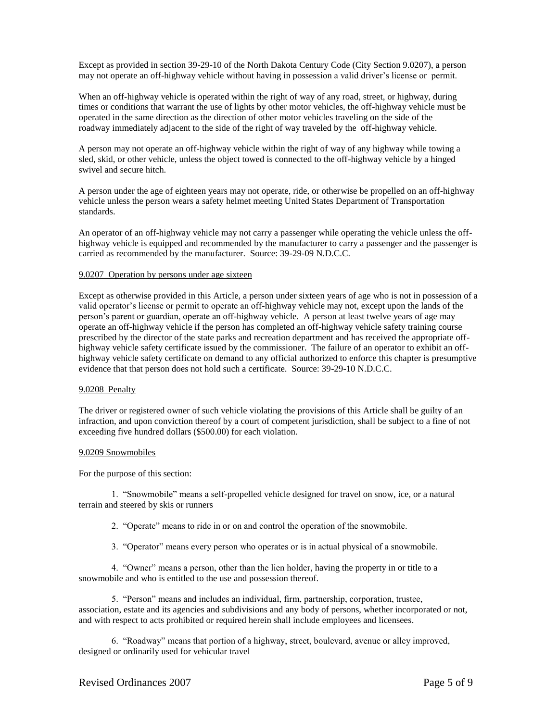Except as provided in section 39-29-10 of the North Dakota Century Code (City Section 9.0207), a person may not operate an off-highway vehicle without having in possession a valid driver's license or permit.

When an off-highway vehicle is operated within the right of way of any road, street, or highway, during times or conditions that warrant the use of lights by other motor vehicles, the off-highway vehicle must be operated in the same direction as the direction of other motor vehicles traveling on the side of the roadway immediately adjacent to the side of the right of way traveled by the off-highway vehicle.

A person may not operate an off-highway vehicle within the right of way of any highway while towing a sled, skid, or other vehicle, unless the object towed is connected to the off-highway vehicle by a hinged swivel and secure hitch.

A person under the age of eighteen years may not operate, ride, or otherwise be propelled on an off-highway vehicle unless the person wears a safety helmet meeting United States Department of Transportation standards.

An operator of an off-highway vehicle may not carry a passenger while operating the vehicle unless the offhighway vehicle is equipped and recommended by the manufacturer to carry a passenger and the passenger is carried as recommended by the manufacturer. Source: 39-29-09 N.D.C.C.

#### 9.0207 Operation by persons under age sixteen

Except as otherwise provided in this Article, a person under sixteen years of age who is not in possession of a valid operator's license or permit to operate an off-highway vehicle may not, except upon the lands of the person's parent or guardian, operate an off-highway vehicle. A person at least twelve years of age may operate an off-highway vehicle if the person has completed an off-highway vehicle safety training course prescribed by the director of the state parks and recreation department and has received the appropriate offhighway vehicle safety certificate issued by the commissioner. The failure of an operator to exhibit an offhighway vehicle safety certificate on demand to any official authorized to enforce this chapter is presumptive evidence that that person does not hold such a certificate. Source: 39-29-10 N.D.C.C.

### 9.0208 Penalty

The driver or registered owner of such vehicle violating the provisions of this Article shall be guilty of an infraction, and upon conviction thereof by a court of competent jurisdiction, shall be subject to a fine of not exceeding five hundred dollars (\$500.00) for each violation.

#### 9.0209 Snowmobiles

For the purpose of this section:

1. "Snowmobile" means a self-propelled vehicle designed for travel on snow, ice, or a natural terrain and steered by skis or runners

- 2. "Operate" means to ride in or on and control the operation of the snowmobile.
- 3. "Operator" means every person who operates or is in actual physical of a snowmobile.

4. "Owner" means a person, other than the lien holder, having the property in or title to a snowmobile and who is entitled to the use and possession thereof.

5. "Person" means and includes an individual, firm, partnership, corporation, trustee, association, estate and its agencies and subdivisions and any body of persons, whether incorporated or not, and with respect to acts prohibited or required herein shall include employees and licensees.

6. "Roadway" means that portion of a highway, street, boulevard, avenue or alley improved, designed or ordinarily used for vehicular travel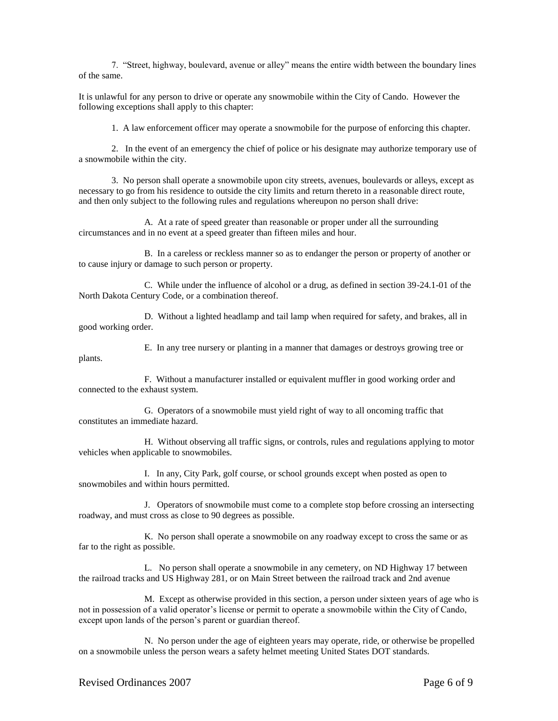7. "Street, highway, boulevard, avenue or alley" means the entire width between the boundary lines of the same.

It is unlawful for any person to drive or operate any snowmobile within the City of Cando. However the following exceptions shall apply to this chapter:

1. A law enforcement officer may operate a snowmobile for the purpose of enforcing this chapter.

2. In the event of an emergency the chief of police or his designate may authorize temporary use of a snowmobile within the city.

3. No person shall operate a snowmobile upon city streets, avenues, boulevards or alleys, except as necessary to go from his residence to outside the city limits and return thereto in a reasonable direct route, and then only subject to the following rules and regulations whereupon no person shall drive:

A. At a rate of speed greater than reasonable or proper under all the surrounding circumstances and in no event at a speed greater than fifteen miles and hour.

B. In a careless or reckless manner so as to endanger the person or property of another or to cause injury or damage to such person or property.

C. While under the influence of alcohol or a drug, as defined in section 39-24.1-01 of the North Dakota Century Code, or a combination thereof.

D. Without a lighted headlamp and tail lamp when required for safety, and brakes, all in good working order.

E. In any tree nursery or planting in a manner that damages or destroys growing tree or plants.

F. Without a manufacturer installed or equivalent muffler in good working order and connected to the exhaust system.

G. Operators of a snowmobile must yield right of way to all oncoming traffic that constitutes an immediate hazard.

H. Without observing all traffic signs, or controls, rules and regulations applying to motor vehicles when applicable to snowmobiles.

I. In any, City Park, golf course, or school grounds except when posted as open to snowmobiles and within hours permitted.

J. Operators of snowmobile must come to a complete stop before crossing an intersecting roadway, and must cross as close to 90 degrees as possible.

K. No person shall operate a snowmobile on any roadway except to cross the same or as far to the right as possible.

L.No person shall operate a snowmobile in any cemetery, on ND Highway 17 between the railroad tracks and US Highway 281, or on Main Street between the railroad track and 2nd avenue

M.Except as otherwise provided in this section, a person under sixteen years of age who is not in possession of a valid operator's license or permit to operate a snowmobile within the City of Cando, except upon lands of the person's parent or guardian thereof.

N. No person under the age of eighteen years may operate, ride, or otherwise be propelled on a snowmobile unless the person wears a safety helmet meeting United States DOT standards.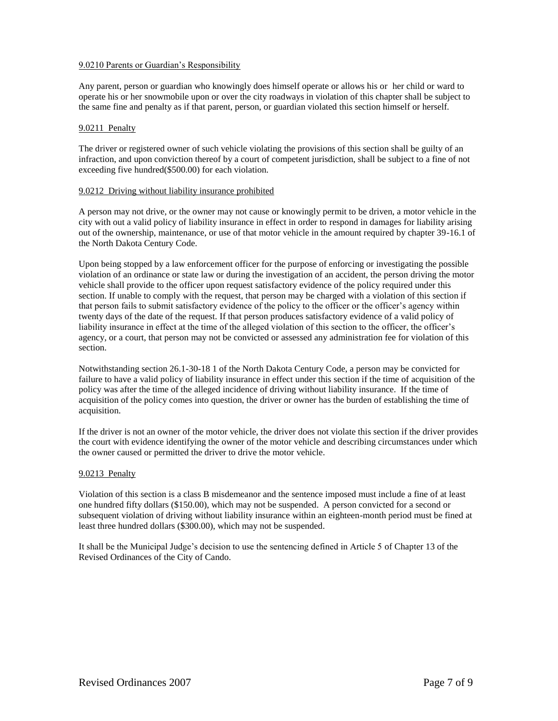# 9.0210 Parents or Guardian's Responsibility

Any parent, person or guardian who knowingly does himself operate or allows his or her child or ward to operate his or her snowmobile upon or over the city roadways in violation of this chapter shall be subject to the same fine and penalty as if that parent, person, or guardian violated this section himself or herself.

# 9.0211 Penalty

The driver or registered owner of such vehicle violating the provisions of this section shall be guilty of an infraction, and upon conviction thereof by a court of competent jurisdiction, shall be subject to a fine of not exceeding five hundred(\$500.00) for each violation.

# 9.0212 Driving without liability insurance prohibited

A person may not drive, or the owner may not cause or knowingly permit to be driven, a motor vehicle in the city with out a valid policy of liability insurance in effect in order to respond in damages for liability arising out of the ownership, maintenance, or use of that motor vehicle in the amount required by chapter 39-16.1 of the North Dakota Century Code.

Upon being stopped by a law enforcement officer for the purpose of enforcing or investigating the possible violation of an ordinance or state law or during the investigation of an accident, the person driving the motor vehicle shall provide to the officer upon request satisfactory evidence of the policy required under this section. If unable to comply with the request, that person may be charged with a violation of this section if that person fails to submit satisfactory evidence of the policy to the officer or the officer's agency within twenty days of the date of the request. If that person produces satisfactory evidence of a valid policy of liability insurance in effect at the time of the alleged violation of this section to the officer, the officer's agency, or a court, that person may not be convicted or assessed any administration fee for violation of this section.

Notwithstanding section 26.1-30-18 1 of the North Dakota Century Code, a person may be convicted for failure to have a valid policy of liability insurance in effect under this section if the time of acquisition of the policy was after the time of the alleged incidence of driving without liability insurance. If the time of acquisition of the policy comes into question, the driver or owner has the burden of establishing the time of acquisition.

If the driver is not an owner of the motor vehicle, the driver does not violate this section if the driver provides the court with evidence identifying the owner of the motor vehicle and describing circumstances under which the owner caused or permitted the driver to drive the motor vehicle.

# 9.0213 Penalty

Violation of this section is a class B misdemeanor and the sentence imposed must include a fine of at least one hundred fifty dollars (\$150.00), which may not be suspended. A person convicted for a second or subsequent violation of driving without liability insurance within an eighteen-month period must be fined at least three hundred dollars (\$300.00), which may not be suspended.

It shall be the Municipal Judge's decision to use the sentencing defined in Article 5 of Chapter 13 of the Revised Ordinances of the City of Cando.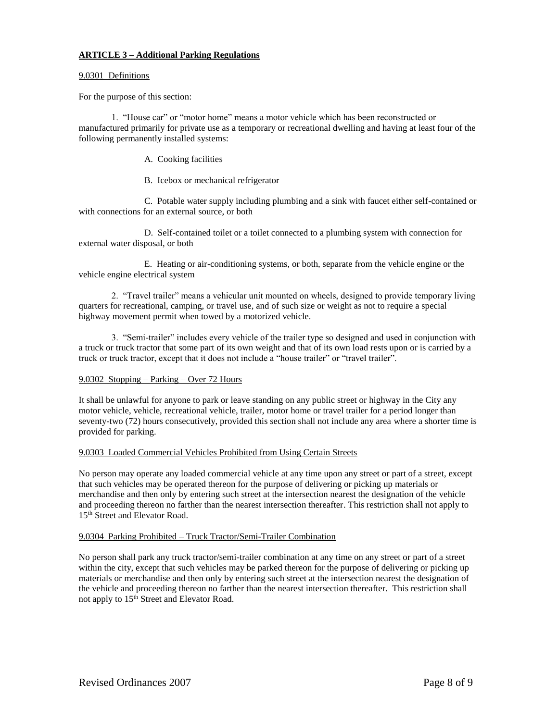# **ARTICLE 3 – Additional Parking Regulations**

# 9.0301 Definitions

For the purpose of this section:

1. "House car" or "motor home" means a motor vehicle which has been reconstructed or manufactured primarily for private use as a temporary or recreational dwelling and having at least four of the following permanently installed systems:

A. Cooking facilities

B. Icebox or mechanical refrigerator

C. Potable water supply including plumbing and a sink with faucet either self-contained or with connections for an external source, or both

D. Self-contained toilet or a toilet connected to a plumbing system with connection for external water disposal, or both

E. Heating or air-conditioning systems, or both, separate from the vehicle engine or the vehicle engine electrical system

2. "Travel trailer" means a vehicular unit mounted on wheels, designed to provide temporary living quarters for recreational, camping, or travel use, and of such size or weight as not to require a special highway movement permit when towed by a motorized vehicle.

3. "Semi-trailer" includes every vehicle of the trailer type so designed and used in conjunction with a truck or truck tractor that some part of its own weight and that of its own load rests upon or is carried by a truck or truck tractor, except that it does not include a "house trailer" or "travel trailer".

# 9.0302 Stopping – Parking – Over 72 Hours

It shall be unlawful for anyone to park or leave standing on any public street or highway in the City any motor vehicle, vehicle, recreational vehicle, trailer, motor home or travel trailer for a period longer than seventy-two (72) hours consecutively, provided this section shall not include any area where a shorter time is provided for parking.

### 9.0303 Loaded Commercial Vehicles Prohibited from Using Certain Streets

No person may operate any loaded commercial vehicle at any time upon any street or part of a street, except that such vehicles may be operated thereon for the purpose of delivering or picking up materials or merchandise and then only by entering such street at the intersection nearest the designation of the vehicle and proceeding thereon no farther than the nearest intersection thereafter. This restriction shall not apply to 15<sup>th</sup> Street and Elevator Road.

### 9.0304 Parking Prohibited – Truck Tractor/Semi-Trailer Combination

No person shall park any truck tractor/semi-trailer combination at any time on any street or part of a street within the city, except that such vehicles may be parked thereon for the purpose of delivering or picking up materials or merchandise and then only by entering such street at the intersection nearest the designation of the vehicle and proceeding thereon no farther than the nearest intersection thereafter. This restriction shall not apply to 15<sup>th</sup> Street and Elevator Road.